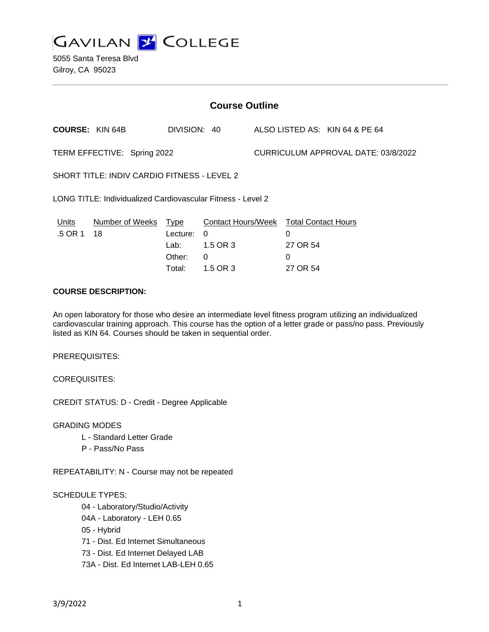

5055 Santa Teresa Blvd Gilroy, CA 95023

| <b>Course Outline</b>                                       |                            |                                      |                                                                    |                                     |                                                              |                                |
|-------------------------------------------------------------|----------------------------|--------------------------------------|--------------------------------------------------------------------|-------------------------------------|--------------------------------------------------------------|--------------------------------|
| <b>COURSE: KIN 64B</b>                                      |                            | DIVISION: 40                         |                                                                    |                                     |                                                              | ALSO LISTED AS: KIN 64 & PE 64 |
| TERM EFFECTIVE: Spring 2022                                 |                            |                                      |                                                                    | CURRICULUM APPROVAL DATE: 03/8/2022 |                                                              |                                |
| SHORT TITLE: INDIV CARDIO FITNESS - LEVEL 2                 |                            |                                      |                                                                    |                                     |                                                              |                                |
| LONG TITLE: Individualized Cardiovascular Fitness - Level 2 |                            |                                      |                                                                    |                                     |                                                              |                                |
| Units<br>.5 OR 1                                            | Number of Weeks Type<br>18 | Lecture:<br>Lab:<br>Other:<br>Total: | Contact Hours/Week<br>$\Omega$<br>1.5 OR 3<br>$\Omega$<br>1.5 OR 3 |                                     | <b>Total Contact Hours</b><br>0<br>27 OR 54<br>0<br>27 OR 54 |                                |

# **COURSE DESCRIPTION:**

An open laboratory for those who desire an intermediate level fitness program utilizing an individualized cardiovascular training approach. This course has the option of a letter grade or pass/no pass. Previously listed as KIN 64. Courses should be taken in sequential order.

PREREQUISITES:

COREQUISITES:

CREDIT STATUS: D - Credit - Degree Applicable

GRADING MODES

- L Standard Letter Grade
- P Pass/No Pass

REPEATABILITY: N - Course may not be repeated

#### SCHEDULE TYPES:

04 - Laboratory/Studio/Activity

- 04A Laboratory LEH 0.65
- 05 Hybrid
- 71 Dist. Ed Internet Simultaneous
- 73 Dist. Ed Internet Delayed LAB
- 73A Dist. Ed Internet LAB-LEH 0.65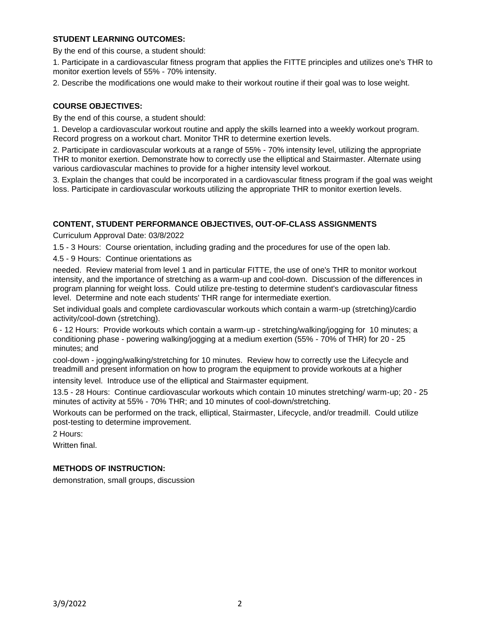### **STUDENT LEARNING OUTCOMES:**

By the end of this course, a student should:

1. Participate in a cardiovascular fitness program that applies the FITTE principles and utilizes one's THR to monitor exertion levels of 55% - 70% intensity.

2. Describe the modifications one would make to their workout routine if their goal was to lose weight.

#### **COURSE OBJECTIVES:**

By the end of this course, a student should:

1. Develop a cardiovascular workout routine and apply the skills learned into a weekly workout program. Record progress on a workout chart. Monitor THR to determine exertion levels.

2. Participate in cardiovascular workouts at a range of 55% - 70% intensity level, utilizing the appropriate THR to monitor exertion. Demonstrate how to correctly use the elliptical and Stairmaster. Alternate using various cardiovascular machines to provide for a higher intensity level workout.

3. Explain the changes that could be incorporated in a cardiovascular fitness program if the goal was weight loss. Participate in cardiovascular workouts utilizing the appropriate THR to monitor exertion levels.

### **CONTENT, STUDENT PERFORMANCE OBJECTIVES, OUT-OF-CLASS ASSIGNMENTS**

Curriculum Approval Date: 03/8/2022

1.5 - 3 Hours: Course orientation, including grading and the procedures for use of the open lab.

4.5 - 9 Hours: Continue orientations as

needed. Review material from level 1 and in particular FITTE, the use of one's THR to monitor workout intensity, and the importance of stretching as a warm-up and cool-down. Discussion of the differences in program planning for weight loss. Could utilize pre-testing to determine student's cardiovascular fitness level. Determine and note each students' THR range for intermediate exertion.

Set individual goals and complete cardiovascular workouts which contain a warm-up (stretching)/cardio activity/cool-down (stretching).

6 - 12 Hours: Provide workouts which contain a warm-up - stretching/walking/jogging for 10 minutes; a conditioning phase - powering walking/jogging at a medium exertion (55% - 70% of THR) for 20 - 25 minutes; and

cool-down - jogging/walking/stretching for 10 minutes. Review how to correctly use the Lifecycle and treadmill and present information on how to program the equipment to provide workouts at a higher intensity level. Introduce use of the elliptical and Stairmaster equipment.

13.5 - 28 Hours: Continue cardiovascular workouts which contain 10 minutes stretching/ warm-up; 20 - 25 minutes of activity at 55% - 70% THR; and 10 minutes of cool-down/stretching.

Workouts can be performed on the track, elliptical, Stairmaster, Lifecycle, and/or treadmill. Could utilize post-testing to determine improvement.

2 Hours:

Written final.

### **METHODS OF INSTRUCTION:**

demonstration, small groups, discussion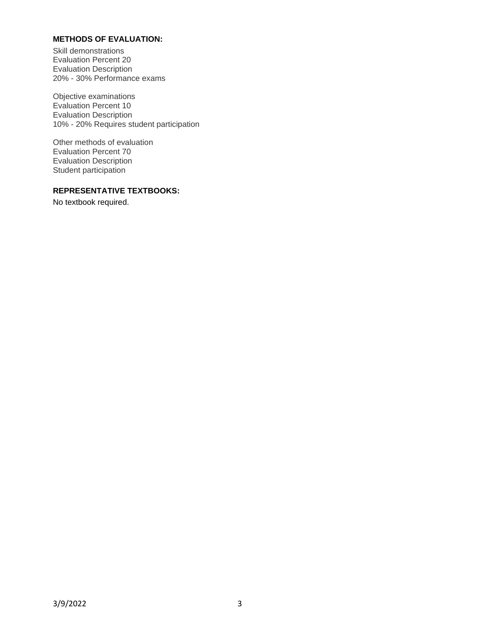### **METHODS OF EVALUATION:**

Skill demonstrations Evaluation Percent 20 Evaluation Description 20% - 30% Performance exams

Objective examinations Evaluation Percent 10 Evaluation Description 10% - 20% Requires student participation

Other methods of evaluation Evaluation Percent 70 Evaluation Description Student participation

# **REPRESENTATIVE TEXTBOOKS:**

No textbook required.